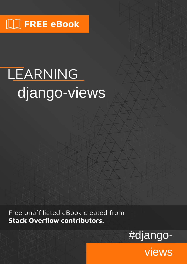## $\lfloor \rfloor$  FREE eBook

# LEARNING django-views

Free unaffiliated eBook created from **Stack Overflow contributors.** 



views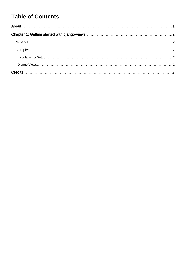### **Table of Contents**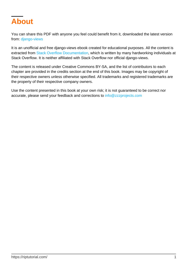<span id="page-2-0"></span>

You can share this PDF with anyone you feel could benefit from it, downloaded the latest version from: [django-views](http://riptutorial.com/ebook/django-views)

It is an unofficial and free django-views ebook created for educational purposes. All the content is extracted from [Stack Overflow Documentation,](https://archive.org/details/documentation-dump.7z) which is written by many hardworking individuals at Stack Overflow. It is neither affiliated with Stack Overflow nor official django-views.

The content is released under Creative Commons BY-SA, and the list of contributors to each chapter are provided in the credits section at the end of this book. Images may be copyright of their respective owners unless otherwise specified. All trademarks and registered trademarks are the property of their respective company owners.

Use the content presented in this book at your own risk; it is not guaranteed to be correct nor accurate, please send your feedback and corrections to [info@zzzprojects.com](mailto:info@zzzprojects.com)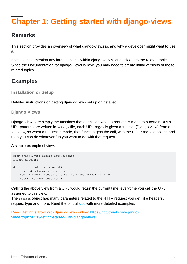## <span id="page-3-0"></span>**Chapter 1: Getting started with django-views**

#### <span id="page-3-1"></span>**Remarks**

This section provides an overview of what django-views is, and why a developer might want to use it.

It should also mention any large subjects within django-views, and link out to the related topics. Since the Documentation for django-views is new, you may need to create initial versions of those related topics.

#### <span id="page-3-2"></span>**Examples**

<span id="page-3-3"></span>**Installation or Setup**

Detailed instructions on getting django-views set up or installed.

#### <span id="page-3-4"></span>**Django Views**

Django Views are simply the functions that get called when a request is made to a certain URLs. URL patterns are written in  $urls.py$  file, each URL regex is given a function(Django view) from a views.py, so when a request is made, that function gets the call, with the HTTP request object, and then you can do whatever fun you want to do with that request.

A simple example of view,

```
from django.http import HttpResponse
import datetime
def current datetime(request):
     now = datetime.datetime.now()
   html = "<html><body>It is now %s.</body></html>" % now
     return HttpResponse(html)
```
Calling the above view from a URL would return the current time, everytime you call the URL assigned to this view.

The request object has many parameters related to the HTTP request you get, like headers, request type and more. Read the official [doc](https://docs.djangoproject.com/en/dev/topics/http/views/) with more detailed examples.

Read Getting started with django-views online: [https://riptutorial.com/django](https://riptutorial.com/django-views/topic/9728/getting-started-with-django-views)[views/topic/9728/getting-started-with-django-views](https://riptutorial.com/django-views/topic/9728/getting-started-with-django-views)